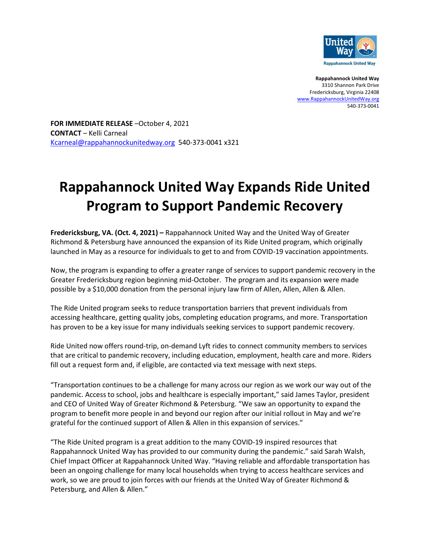

**Rappahannock United Way** 3310 Shannon Park Drive Fredericksburg, Virginia 22408 [www.RappahannockUnitedWay.org](http://www.rappahannockunitedway.org/) 540-373-0041

**FOR IMMEDIATE RELEASE** –October 4, 2021 **CONTACT** – Kelli Carneal [Kcarneal@rappahannockunitedway.org](mailto:Kcarneal@rappahannockunitedway.org) 540-373-0041 x321

# **Rappahannock United Way Expands Ride United Program to Support Pandemic Recovery**

**Fredericksburg, VA. (Oct. 4, 2021) –** Rappahannock United Way and the United Way of Greater Richmond & Petersburg have announced the expansion of its Ride United program, which originally launched in May as a resource for individuals to get to and from COVID-19 vaccination appointments.

Now, the program is expanding to offer a greater range of services to support pandemic recovery in the Greater Fredericksburg region beginning mid-October. The program and its expansion were made possible by a \$10,000 donation from the personal injury law firm of Allen, Allen, Allen & Allen.

The Ride United program seeks to reduce transportation barriers that prevent individuals from accessing healthcare, getting quality jobs, completing education programs, and more. Transportation has proven to be a key issue for many individuals seeking services to support pandemic recovery.

Ride United now offers round-trip, on-demand Lyft rides to connect community members to services that are critical to pandemic recovery, including education, employment, health care and more. Riders fill out a request form and, if eligible, are contacted via text message with next steps.

"Transportation continues to be a challenge for many across our region as we work our way out of the pandemic. Access to school, jobs and healthcare is especially important," said James Taylor, president and CEO of United Way of Greater Richmond & Petersburg. "We saw an opportunity to expand the program to benefit more people in and beyond our region after our initial rollout in May and we're grateful for the continued support of Allen & Allen in this expansion of services."

"The Ride United program is a great addition to the many COVID-19 inspired resources that Rappahannock United Way has provided to our community during the pandemic." said Sarah Walsh, Chief Impact Officer at Rappahannock United Way. "Having reliable and affordable transportation has been an ongoing challenge for many local households when trying to access healthcare services and work, so we are proud to join forces with our friends at the United Way of Greater Richmond & Petersburg, and Allen & Allen."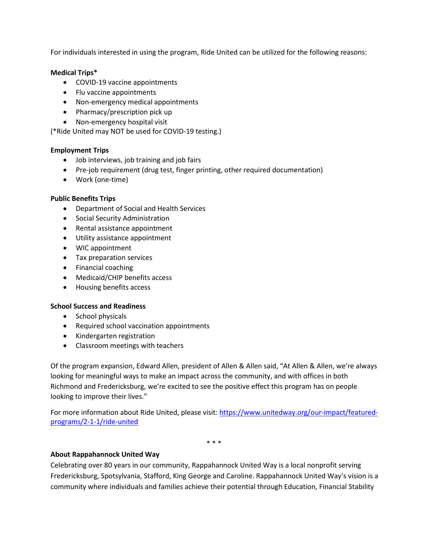For individuals interested in using the program, Ride United can be utilized for the following reasons:

#### **Medical Trips\***

- COVID-19 vaccine appointments
- Flu vaccine appointments
- Non-emergency medical appointments
- Pharmacy/prescription pick up
- Non-emergency hospital visit

(\*Ride United may NOT be used for COVID-19 testing.)

# **Employment Trips**

- Job interviews, job training and job fairs
- Pre-job requirement (drug test, finger printing, other required documentation)
- Work (one-time)

# **Public Benefits Trips**

- Department of Social and Health Services
- Social Security Administration
- Rental assistance appointment
- Utility assistance appointment
- WIC appointment
- Tax preparation services
- Financial coaching
- Medicaid/CHIP benefits access
- Housing benefits access

# **School Success and Readiness**

- School physicals
- Required school vaccination appointments
- Kindergarten registration
- Classroom meetings with teachers

Of the program expansion, Edward Allen, president of Allen & Allen said, "At Allen & Allen, we're always looking for meaningful ways to make an impact across the community, and with offices in both Richmond and Fredericksburg, we're excited to see the positive effect this program has on people looking to improve their lives."

For more information about Ride United, please visit: [https://www.unitedway.org/our-impact/featured](https://www.unitedway.org/our-impact/featured-programs/2-1-1/ride-united)[programs/2-1-1/ride-united](https://www.unitedway.org/our-impact/featured-programs/2-1-1/ride-united)

\* \* \*

# **About Rappahannock United Way**

Celebrating over 80 years in our community, Rappahannock United Way is a local nonprofit serving Fredericksburg, Spotsylvania, Stafford, King George and Caroline. Rappahannock United Way's vision is a community where individuals and families achieve their potential through Education, Financial Stability